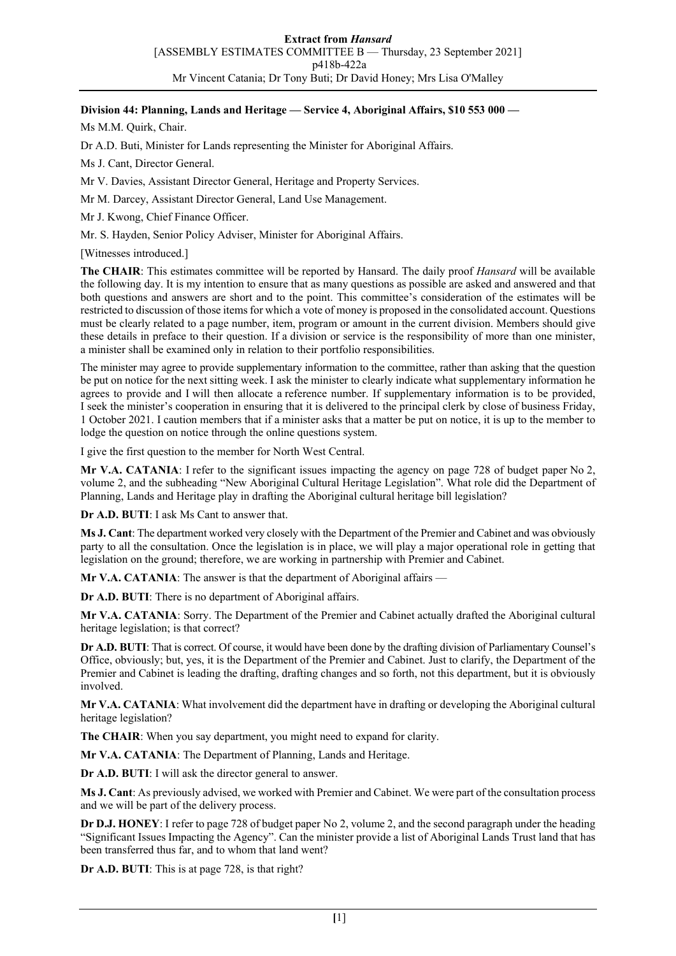## **Division 44: Planning, Lands and Heritage — Service 4, Aboriginal Affairs, \$10 553 000 —**

Ms M.M. Quirk, Chair.

Dr A.D. Buti, Minister for Lands representing the Minister for Aboriginal Affairs.

Ms J. Cant, Director General.

Mr V. Davies, Assistant Director General, Heritage and Property Services.

Mr M. Darcey, Assistant Director General, Land Use Management.

Mr J. Kwong, Chief Finance Officer.

Mr. S. Hayden, Senior Policy Adviser, Minister for Aboriginal Affairs.

[Witnesses introduced.]

**The CHAIR**: This estimates committee will be reported by Hansard. The daily proof *Hansard* will be available the following day. It is my intention to ensure that as many questions as possible are asked and answered and that both questions and answers are short and to the point. This committee's consideration of the estimates will be restricted to discussion of those items for which a vote of money is proposed in the consolidated account. Questions must be clearly related to a page number, item, program or amount in the current division. Members should give these details in preface to their question. If a division or service is the responsibility of more than one minister, a minister shall be examined only in relation to their portfolio responsibilities.

The minister may agree to provide supplementary information to the committee, rather than asking that the question be put on notice for the next sitting week. I ask the minister to clearly indicate what supplementary information he agrees to provide and I will then allocate a reference number. If supplementary information is to be provided, I seek the minister's cooperation in ensuring that it is delivered to the principal clerk by close of business Friday, 1 October 2021. I caution members that if a minister asks that a matter be put on notice, it is up to the member to lodge the question on notice through the online questions system.

I give the first question to the member for North West Central.

**Mr V.A. CATANIA**: I refer to the significant issues impacting the agency on page 728 of budget paper No 2, volume 2, and the subheading "New Aboriginal Cultural Heritage Legislation". What role did the Department of Planning, Lands and Heritage play in drafting the Aboriginal cultural heritage bill legislation?

**Dr A.D. BUTI**: I ask Ms Cant to answer that.

**Ms J. Cant**: The department worked very closely with the Department of the Premier and Cabinet and was obviously party to all the consultation. Once the legislation is in place, we will play a major operational role in getting that legislation on the ground; therefore, we are working in partnership with Premier and Cabinet.

**Mr V.A. CATANIA**: The answer is that the department of Aboriginal affairs —

**Dr A.D. BUTI**: There is no department of Aboriginal affairs.

**Mr V.A. CATANIA**: Sorry. The Department of the Premier and Cabinet actually drafted the Aboriginal cultural heritage legislation; is that correct?

**Dr A.D. BUTI**: That is correct. Of course, it would have been done by the drafting division of Parliamentary Counsel's Office, obviously; but, yes, it is the Department of the Premier and Cabinet. Just to clarify, the Department of the Premier and Cabinet is leading the drafting, drafting changes and so forth, not this department, but it is obviously involved.

**Mr V.A. CATANIA**: What involvement did the department have in drafting or developing the Aboriginal cultural heritage legislation?

**The CHAIR**: When you say department, you might need to expand for clarity.

**Mr V.A. CATANIA**: The Department of Planning, Lands and Heritage.

**Dr A.D. BUTI**: I will ask the director general to answer.

**Ms J. Cant**: As previously advised, we worked with Premier and Cabinet. We were part of the consultation process and we will be part of the delivery process.

**Dr D.J. HONEY**: I refer to page 728 of budget paper No 2, volume 2, and the second paragraph under the heading "Significant Issues Impacting the Agency". Can the minister provide a list of Aboriginal Lands Trust land that has been transferred thus far, and to whom that land went?

**Dr A.D. BUTI**: This is at page 728, is that right?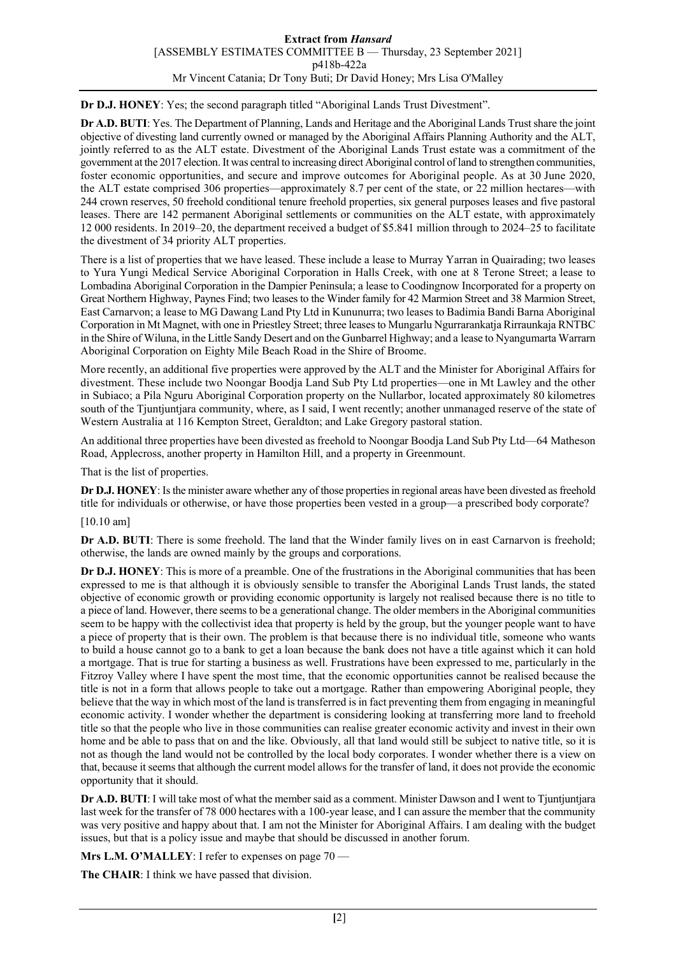**Dr D.J. HONEY**: Yes; the second paragraph titled "Aboriginal Lands Trust Divestment".

**Dr A.D. BUTI**: Yes. The Department of Planning, Lands and Heritage and the Aboriginal Lands Trust share the joint objective of divesting land currently owned or managed by the Aboriginal Affairs Planning Authority and the ALT, jointly referred to as the ALT estate. Divestment of the Aboriginal Lands Trust estate was a commitment of the government at the 2017 election. It was central to increasing direct Aboriginal control of land to strengthen communities, foster economic opportunities, and secure and improve outcomes for Aboriginal people. As at 30 June 2020, the ALT estate comprised 306 properties—approximately 8.7 per cent of the state, or 22 million hectares—with 244 crown reserves, 50 freehold conditional tenure freehold properties, six general purposes leases and five pastoral leases. There are 142 permanent Aboriginal settlements or communities on the ALT estate, with approximately 12 000 residents. In 2019–20, the department received a budget of \$5.841 million through to 2024–25 to facilitate the divestment of 34 priority ALT properties.

There is a list of properties that we have leased. These include a lease to Murray Yarran in Quairading; two leases to Yura Yungi Medical Service Aboriginal Corporation in Halls Creek, with one at 8 Terone Street; a lease to Lombadina Aboriginal Corporation in the Dampier Peninsula; a lease to Coodingnow Incorporated for a property on Great Northern Highway, Paynes Find; two leases to the Winder family for 42 Marmion Street and 38 Marmion Street, East Carnarvon; a lease to MG Dawang Land Pty Ltd in Kununurra; two leases to Badimia Bandi Barna Aboriginal Corporation in Mt Magnet, with one in Priestley Street; three leases to Mungarlu Ngurrarankatja Rirraunkaja RNTBC in the Shire of Wiluna, in the Little Sandy Desert and on the Gunbarrel Highway; and a lease to Nyangumarta Warrarn Aboriginal Corporation on Eighty Mile Beach Road in the Shire of Broome.

More recently, an additional five properties were approved by the ALT and the Minister for Aboriginal Affairs for divestment. These include two Noongar Boodja Land Sub Pty Ltd properties—one in Mt Lawley and the other in Subiaco; a Pila Nguru Aboriginal Corporation property on the Nullarbor, located approximately 80 kilometres south of the Tjuntjuntjara community, where, as I said, I went recently; another unmanaged reserve of the state of Western Australia at 116 Kempton Street, Geraldton; and Lake Gregory pastoral station.

An additional three properties have been divested as freehold to Noongar Boodja Land Sub Pty Ltd—64 Matheson Road, Applecross, another property in Hamilton Hill, and a property in Greenmount.

That is the list of properties.

**Dr D.J. HONEY**: Is the minister aware whether any of those properties in regional areas have been divested as freehold title for individuals or otherwise, or have those properties been vested in a group—a prescribed body corporate?

[10.10 am]

**Dr A.D. BUTI**: There is some freehold. The land that the Winder family lives on in east Carnarvon is freehold; otherwise, the lands are owned mainly by the groups and corporations.

**Dr D.J. HONEY**: This is more of a preamble. One of the frustrations in the Aboriginal communities that has been expressed to me is that although it is obviously sensible to transfer the Aboriginal Lands Trust lands, the stated objective of economic growth or providing economic opportunity is largely not realised because there is no title to a piece of land. However, there seems to be a generational change. The older members in the Aboriginal communities seem to be happy with the collectivist idea that property is held by the group, but the younger people want to have a piece of property that is their own. The problem is that because there is no individual title, someone who wants to build a house cannot go to a bank to get a loan because the bank does not have a title against which it can hold a mortgage. That is true for starting a business as well. Frustrations have been expressed to me, particularly in the Fitzroy Valley where I have spent the most time, that the economic opportunities cannot be realised because the title is not in a form that allows people to take out a mortgage. Rather than empowering Aboriginal people, they believe that the way in which most of the land is transferred is in fact preventing them from engaging in meaningful economic activity. I wonder whether the department is considering looking at transferring more land to freehold title so that the people who live in those communities can realise greater economic activity and invest in their own home and be able to pass that on and the like. Obviously, all that land would still be subject to native title, so it is not as though the land would not be controlled by the local body corporates. I wonder whether there is a view on that, because it seems that although the current model allows for the transfer of land, it does not provide the economic opportunity that it should.

**Dr A.D. BUTI**: I will take most of what the member said as a comment. Minister Dawson and I went to Tjuntjuntjara last week for the transfer of 78 000 hectares with a 100-year lease, and I can assure the member that the community was very positive and happy about that. I am not the Minister for Aboriginal Affairs. I am dealing with the budget issues, but that is a policy issue and maybe that should be discussed in another forum.

**Mrs L.M. O'MALLEY**: I refer to expenses on page 70 —

**The CHAIR**: I think we have passed that division.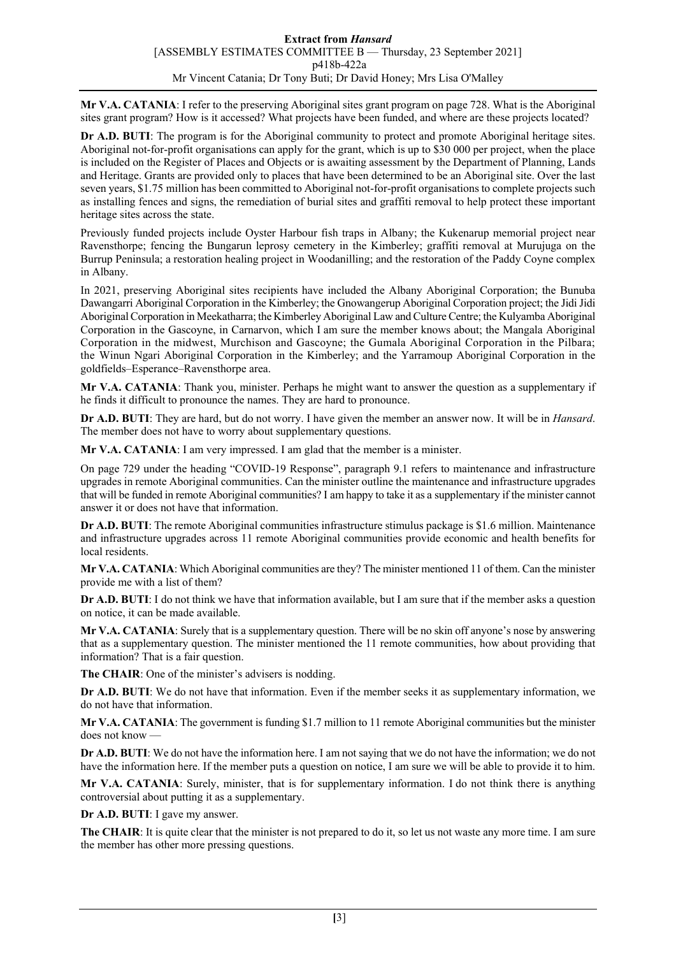**Mr V.A. CATANIA**: I refer to the preserving Aboriginal sites grant program on page 728. What is the Aboriginal sites grant program? How is it accessed? What projects have been funded, and where are these projects located?

**Dr A.D. BUTI**: The program is for the Aboriginal community to protect and promote Aboriginal heritage sites. Aboriginal not-for-profit organisations can apply for the grant, which is up to \$30 000 per project, when the place is included on the Register of Places and Objects or is awaiting assessment by the Department of Planning, Lands and Heritage. Grants are provided only to places that have been determined to be an Aboriginal site. Over the last seven years, \$1.75 million has been committed to Aboriginal not-for-profit organisations to complete projects such as installing fences and signs, the remediation of burial sites and graffiti removal to help protect these important heritage sites across the state.

Previously funded projects include Oyster Harbour fish traps in Albany; the Kukenarup memorial project near Ravensthorpe; fencing the Bungarun leprosy cemetery in the Kimberley; graffiti removal at Murujuga on the Burrup Peninsula; a restoration healing project in Woodanilling; and the restoration of the Paddy Coyne complex in Albany.

In 2021, preserving Aboriginal sites recipients have included the Albany Aboriginal Corporation; the Bunuba Dawangarri Aboriginal Corporation in the Kimberley; the Gnowangerup Aboriginal Corporation project; the Jidi Jidi Aboriginal Corporation in Meekatharra; the Kimberley Aboriginal Law and Culture Centre; the Kulyamba Aboriginal Corporation in the Gascoyne, in Carnarvon, which I am sure the member knows about; the Mangala Aboriginal Corporation in the midwest, Murchison and Gascoyne; the Gumala Aboriginal Corporation in the Pilbara; the Winun Ngari Aboriginal Corporation in the Kimberley; and the Yarramoup Aboriginal Corporation in the goldfields–Esperance–Ravensthorpe area.

**Mr V.A. CATANIA**: Thank you, minister. Perhaps he might want to answer the question as a supplementary if he finds it difficult to pronounce the names. They are hard to pronounce.

**Dr A.D. BUTI**: They are hard, but do not worry. I have given the member an answer now. It will be in *Hansard*. The member does not have to worry about supplementary questions.

**Mr V.A. CATANIA**: I am very impressed. I am glad that the member is a minister.

On page 729 under the heading "COVID-19 Response", paragraph 9.1 refers to maintenance and infrastructure upgrades in remote Aboriginal communities. Can the minister outline the maintenance and infrastructure upgrades that will be funded in remote Aboriginal communities? I am happy to take it as a supplementary if the minister cannot answer it or does not have that information.

**Dr A.D. BUTI**: The remote Aboriginal communities infrastructure stimulus package is \$1.6 million. Maintenance and infrastructure upgrades across 11 remote Aboriginal communities provide economic and health benefits for local residents.

**Mr V.A. CATANIA**: Which Aboriginal communities are they? The minister mentioned 11 of them. Can the minister provide me with a list of them?

**Dr A.D. BUTI**: I do not think we have that information available, but I am sure that if the member asks a question on notice, it can be made available.

**Mr V.A. CATANIA**: Surely that is a supplementary question. There will be no skin off anyone's nose by answering that as a supplementary question. The minister mentioned the 11 remote communities, how about providing that information? That is a fair question.

**The CHAIR**: One of the minister's advisers is nodding.

**Dr A.D. BUTI**: We do not have that information. Even if the member seeks it as supplementary information, we do not have that information.

**Mr V.A. CATANIA**: The government is funding \$1.7 million to 11 remote Aboriginal communities but the minister does not know —

**Dr A.D. BUTI**: We do not have the information here. I am not saying that we do not have the information; we do not have the information here. If the member puts a question on notice, I am sure we will be able to provide it to him.

**Mr V.A. CATANIA**: Surely, minister, that is for supplementary information. I do not think there is anything controversial about putting it as a supplementary.

**Dr A.D. BUTI**: I gave my answer.

**The CHAIR**: It is quite clear that the minister is not prepared to do it, so let us not waste any more time. I am sure the member has other more pressing questions.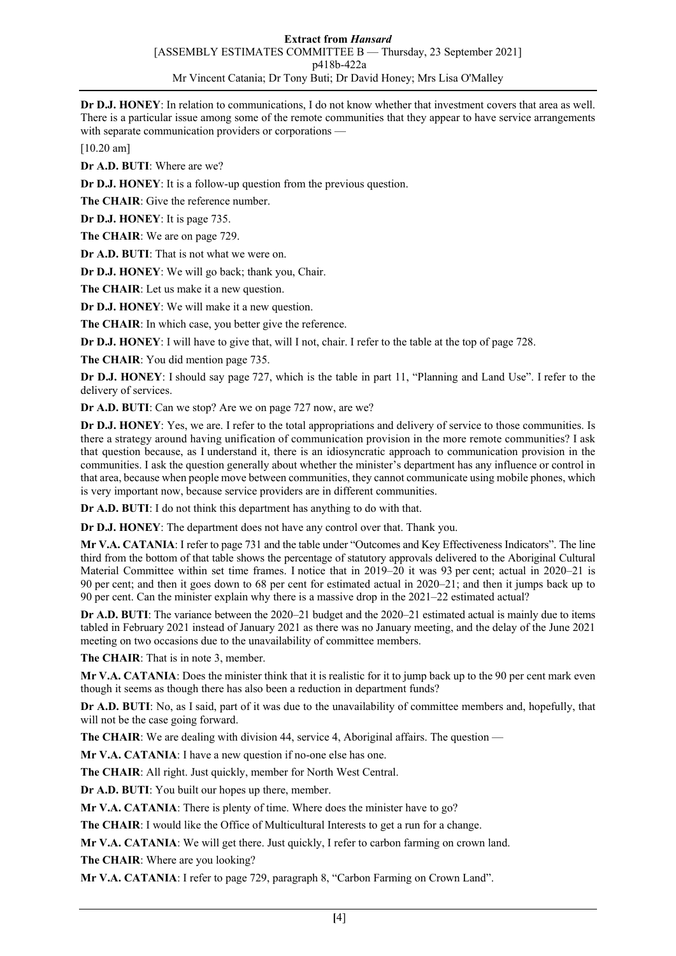**Dr D.J. HONEY**: In relation to communications, I do not know whether that investment covers that area as well. There is a particular issue among some of the remote communities that they appear to have service arrangements with separate communication providers or corporations —

[10.20 am]

**Dr A.D. BUTI**: Where are we?

**Dr D.J. HONEY**: It is a follow-up question from the previous question.

**The CHAIR**: Give the reference number.

**Dr D.J. HONEY**: It is page 735.

**The CHAIR**: We are on page 729.

**Dr A.D. BUTI**: That is not what we were on.

**Dr D.J. HONEY**: We will go back; thank you, Chair.

**The CHAIR**: Let us make it a new question.

**Dr D.J. HONEY**: We will make it a new question.

**The CHAIR**: In which case, you better give the reference.

**Dr D.J. HONEY**: I will have to give that, will I not, chair. I refer to the table at the top of page 728.

**The CHAIR**: You did mention page 735.

**Dr D.J. HONEY**: I should say page 727, which is the table in part 11, "Planning and Land Use". I refer to the delivery of services.

**Dr A.D. BUTI**: Can we stop? Are we on page 727 now, are we?

**Dr D.J. HONEY**: Yes, we are. I refer to the total appropriations and delivery of service to those communities. Is there a strategy around having unification of communication provision in the more remote communities? I ask that question because, as I understand it, there is an idiosyncratic approach to communication provision in the communities. I ask the question generally about whether the minister's department has any influence or control in that area, because when people move between communities, they cannot communicate using mobile phones, which is very important now, because service providers are in different communities.

**Dr A.D. BUTI**: I do not think this department has anything to do with that.

**Dr D.J. HONEY**: The department does not have any control over that. Thank you.

**Mr V.A. CATANIA**: I refer to page 731 and the table under "Outcomes and Key Effectiveness Indicators". The line third from the bottom of that table shows the percentage of statutory approvals delivered to the Aboriginal Cultural Material Committee within set time frames. I notice that in 2019–20 it was 93 per cent; actual in 2020–21 is 90 per cent; and then it goes down to 68 per cent for estimated actual in 2020–21; and then it jumps back up to 90 per cent. Can the minister explain why there is a massive drop in the 2021–22 estimated actual?

**Dr A.D. BUTI**: The variance between the 2020–21 budget and the 2020–21 estimated actual is mainly due to items tabled in February 2021 instead of January 2021 as there was no January meeting, and the delay of the June 2021 meeting on two occasions due to the unavailability of committee members.

**The CHAIR**: That is in note 3, member.

**Mr V.A. CATANIA**: Does the minister think that it is realistic for it to jump back up to the 90 per cent mark even though it seems as though there has also been a reduction in department funds?

**Dr A.D. BUTI**: No, as I said, part of it was due to the unavailability of committee members and, hopefully, that will not be the case going forward.

**The CHAIR:** We are dealing with division 44, service 4, Aboriginal affairs. The question —

**Mr V.A. CATANIA**: I have a new question if no-one else has one.

**The CHAIR**: All right. Just quickly, member for North West Central.

**Dr A.D. BUTI**: You built our hopes up there, member.

**Mr V.A. CATANIA**: There is plenty of time. Where does the minister have to go?

**The CHAIR**: I would like the Office of Multicultural Interests to get a run for a change.

**Mr V.A. CATANIA**: We will get there. Just quickly, I refer to carbon farming on crown land.

**The CHAIR**: Where are you looking?

**Mr V.A. CATANIA**: I refer to page 729, paragraph 8, "Carbon Farming on Crown Land".